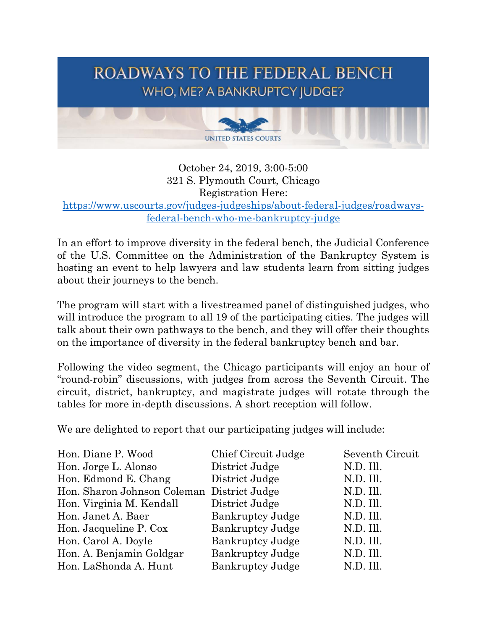

October 24, 2019, 3:00-5:00 321 S. Plymouth Court, Chicago Registration Here: [https://www.uscourts.gov/judges-judgeships/about-federal-judges/roadways](https://www.uscourts.gov/judges-judgeships/about-federal-judges/roadways-federal-bench-who-me-bankruptcy-judge)[federal-bench-who-me-bankruptcy-judge](https://www.uscourts.gov/judges-judgeships/about-federal-judges/roadways-federal-bench-who-me-bankruptcy-judge)

In an effort to improve diversity in the federal bench, the Judicial Conference of the U.S. Committee on the Administration of the Bankruptcy System is hosting an event to help lawyers and law students learn from sitting judges about their journeys to the bench.

The program will start with a livestreamed panel of distinguished judges, who will introduce the program to all 19 of the participating cities. The judges will talk about their own pathways to the bench, and they will offer their thoughts on the importance of diversity in the federal bankruptcy bench and bar.

Following the video segment, the Chicago participants will enjoy an hour of "round-robin" discussions, with judges from across the Seventh Circuit. The circuit, district, bankruptcy, and magistrate judges will rotate through the tables for more in-depth discussions. A short reception will follow.

We are delighted to report that our participating judges will include:

| Chief Circuit Judge                        | Seventh Circuit |
|--------------------------------------------|-----------------|
| District Judge                             | N.D. Ill.       |
| District Judge                             | N.D. Ill.       |
| Hon. Sharon Johnson Coleman District Judge | N.D. Ill.       |
| District Judge                             | N.D. Ill.       |
| <b>Bankruptcy Judge</b>                    | N.D. Ill.       |
| <b>Bankruptcy Judge</b>                    | N.D. Ill.       |
| <b>Bankruptcy Judge</b>                    | N.D. Ill.       |
| <b>Bankruptcy Judge</b>                    | N.D. Ill.       |
| <b>Bankruptcy Judge</b>                    | N.D. Ill.       |
|                                            |                 |